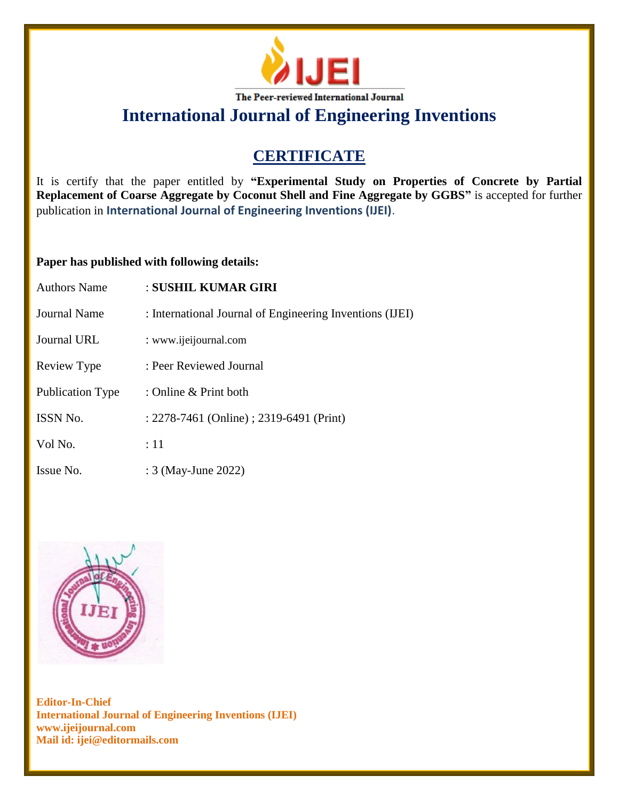

**International Journal of Engineering Inventions**

## **CERTIFICATE**

It is certify that the paper entitled by **"Experimental Study on Properties of Concrete by Partial Replacement of Coarse Aggregate by Coconut Shell and Fine Aggregate by GGBS"** is accepted for further publication in **International Journal of Engineering Inventions (IJEI)**.

## **Paper has published with following details:**

| <b>Authors Name</b>     | : SUSHIL KUMAR GIRI                                      |
|-------------------------|----------------------------------------------------------|
| Journal Name            | : International Journal of Engineering Inventions (IJEI) |
| Journal URL             | : www.ijeijournal.com                                    |
| Review Type             | : Peer Reviewed Journal                                  |
| <b>Publication Type</b> | : Online & Print both                                    |
| <b>ISSN No.</b>         | : 2278-7461 (Online) ; 2319-6491 (Print)                 |
| Vol No.                 | :11                                                      |
| Issue No.               | : 3 (May-June 2022)                                      |



**Editor-In-Chief International Journal of Engineering Inventions (IJEI) www.ijeijournal.com Mail id: ijei@editormails.com**